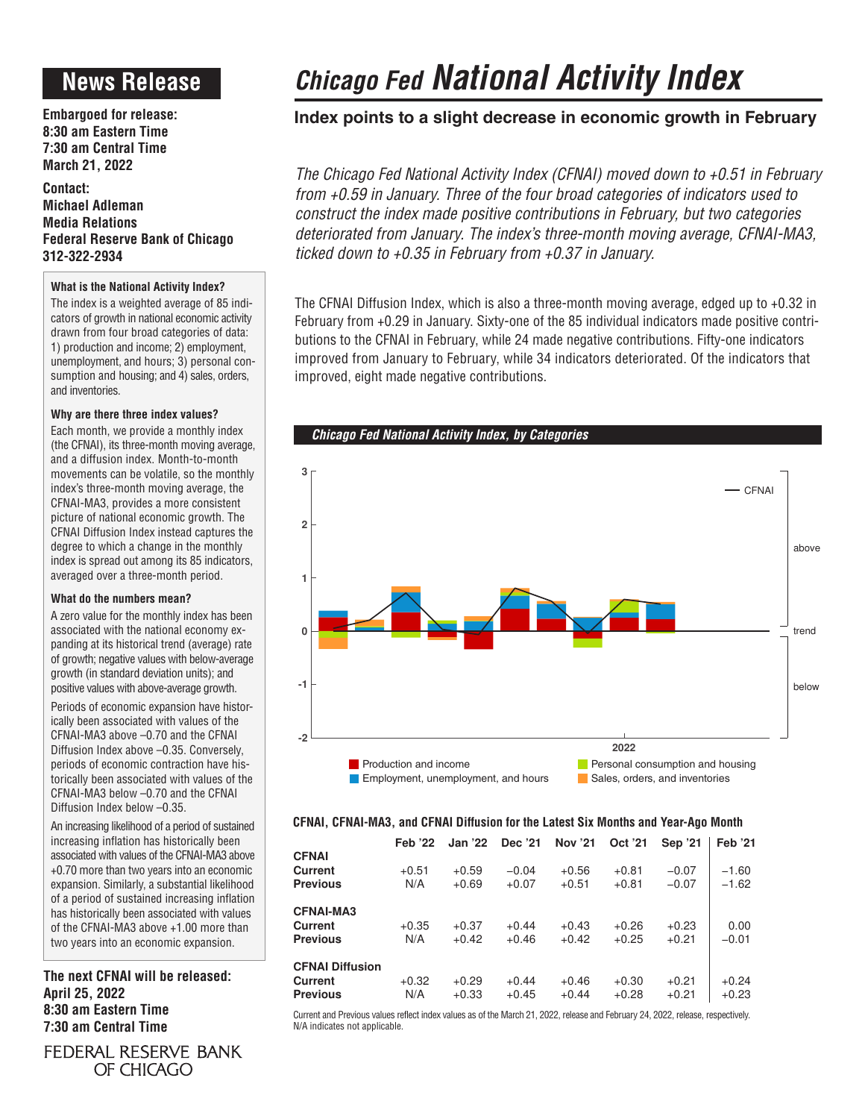# **News Release**

**Embargoed for release: 8:30 am Eastern Time 7:30 am Central Time March 21, 2022**

**Contact: Michael Adleman Media Relations Federal Reserve Bank of Chicago 312-322-2934**

# **What is the National Activity Index?**

The index is a weighted average of 85 indicators of growth in national economic activity drawn from four broad categories of data: 1) production and income; 2) employment, unemployment, and hours; 3) personal consumption and housing; and 4) sales, orders, and inventories.

## **Why are there three index values?**

Each month, we provide a monthly index (the CFNAI), its three-month moving average, and a diffusion index. Month-to-month movements can be volatile, so the monthly index's three-month moving average, the CFNAI-MA3, provides a more consistent picture of national economic growth. The CFNAI Diffusion Index instead captures the degree to which a change in the monthly index is spread out among its 85 indicators, averaged over a three-month period.

## **What do the numbers mean?**

A zero value for the monthly index has been associated with the national economy expanding at its historical trend (average) rate of growth; negative values with below-average growth (in standard deviation units); and positive values with above-average growth.

Periods of economic expansion have historically been associated with values of the CFNAI-MA3 above –0.70 and the CFNAI Diffusion Index above –0.35. Conversely, periods of economic contraction have historically been associated with values of the CFNAI-MA3 below –0.70 and the CFNAI Diffusion Index below –0.35.

An increasing likelihood of a period of sustained increasing inflation has historically been associated with values of the CFNAI-MA3 above +0.70 more than two years into an economic expansion. Similarly, a substantial likelihood of a period of sustained increasing inflation has historically been associated with values of the CFNAI-MA3 above +1.00 more than two years into an economic expansion.

**The next CFNAI will be released: April 25, 2022 8:30 am Eastern Time 7:30 am Central Time**

FEDERAL RESERVE BANK OF CHICAGO

# *Chicago Fed National Activity Index*

# **Index points to a slight decrease in economic growth in February**

*The Chicago Fed National Activity Index (CFNAI) moved down to +0.51 in February from +0.59 in January. Three of the four broad categories of indicators used to construct the index made positive contributions in February, but two categories deteriorated from January. The index's three-month moving average, CFNAI-MA3, ticked down to +0.35 in February from +0.37 in January.*

The CFNAI Diffusion Index, which is also a three-month moving average, edged up to +0.32 in February from +0.29 in January. Sixty-one of the 85 individual indicators made positive contributions to the CFNAI in February, while 24 made negative contributions. Fifty-one indicators improved from January to February, while 34 indicators deteriorated. Of the indicators that improved, eight made negative contributions.





# **CFNAI, CFNAI-MA3, and CFNAI Diffusion for the Latest Six Months and Year-Ago Month**

|                                                      | <b>Feb</b> '22 | <b>Jan '22</b>     | Dec '21            | <b>Nov '21</b>     | Oct '21            | Sep '21            | <b>Feb</b> '21     |
|------------------------------------------------------|----------------|--------------------|--------------------|--------------------|--------------------|--------------------|--------------------|
| <b>CFNAI</b><br>Current<br><b>Previous</b>           | $+0.51$<br>N/A | $+0.59$<br>$+0.69$ | $-0.04$<br>$+0.07$ | $+0.56$<br>$+0.51$ | $+0.81$<br>$+0.81$ | $-0.07$<br>$-0.07$ | $-1.60$<br>$-1.62$ |
| <b>CFNAI-MA3</b><br>Current<br><b>Previous</b>       | $+0.35$<br>N/A | $+0.37$<br>$+0.42$ | $+0.44$<br>$+0.46$ | $+0.43$<br>$+0.42$ | $+0.26$<br>$+0.25$ | $+0.23$<br>$+0.21$ | 0.00<br>$-0.01$    |
| <b>CFNAI Diffusion</b><br>Current<br><b>Previous</b> | $+0.32$<br>N/A | $+0.29$<br>$+0.33$ | $+0.44$<br>$+0.45$ | $+0.46$<br>$+0.44$ | $+0.30$<br>$+0.28$ | $+0.21$<br>$+0.21$ | $+0.24$<br>$+0.23$ |

Current and Previous values reflect index values as of the March 21, 2022, release and February 24, 2022, release, respectively. N/A indicates not applicable.